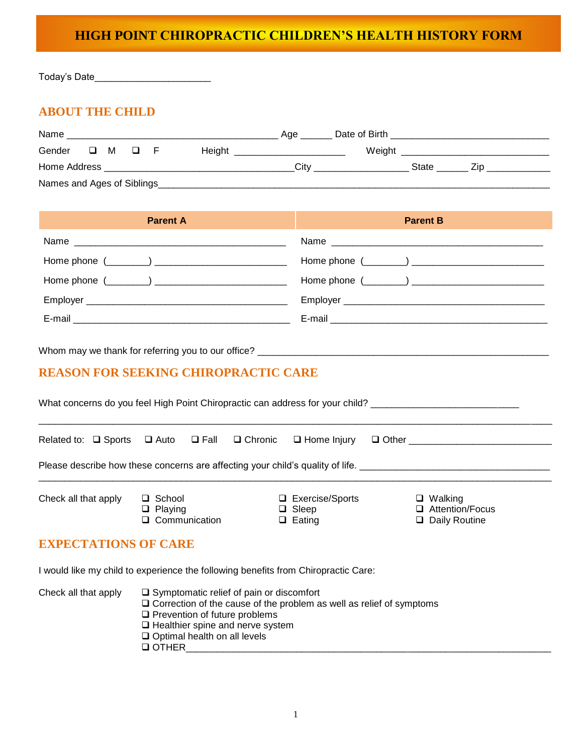# **HIGH POINT CHIROPRACTIC CHILDREN'S HEALTH HISTORY FORM**

Today's Date\_\_\_\_\_\_\_\_\_\_\_\_\_\_\_\_\_\_\_\_\_\_

# **ABOUT THE CHILD**

| Name                        | Date of Birth<br>Age |
|-----------------------------|----------------------|
| Gender<br>Height            | Weight               |
| Home Address                | City<br>State<br>∕ın |
| Names and Ages of Siblings_ |                      |

| <b>Parent A</b>                                                                                                | <b>Parent B</b>                                                                                                |
|----------------------------------------------------------------------------------------------------------------|----------------------------------------------------------------------------------------------------------------|
|                                                                                                                |                                                                                                                |
|                                                                                                                |                                                                                                                |
|                                                                                                                |                                                                                                                |
|                                                                                                                |                                                                                                                |
| E-mail and the contract of the contract of the contract of the contract of the contract of the contract of the | E-mail and the contract of the contract of the contract of the contract of the contract of the contract of the |

Whom may we thank for referring you to our office? \_\_\_\_\_\_\_\_\_\_\_\_\_\_\_\_\_\_\_\_\_\_\_\_\_\_\_\_\_\_\_\_\_\_\_\_\_\_\_\_\_\_\_\_\_\_\_\_\_\_\_\_\_\_\_

### **REASON FOR SEEKING CHIROPRACTIC CARE**

|                             |                                                         |                                                                                                                                | What concerns do you feel High Point Chiropractic can address for your child?                                  |
|-----------------------------|---------------------------------------------------------|--------------------------------------------------------------------------------------------------------------------------------|----------------------------------------------------------------------------------------------------------------|
|                             |                                                         | Related to: Q Sports Q Auto Q Fall Q Chronic Q Home Injury Q Other ______________                                              |                                                                                                                |
|                             |                                                         |                                                                                                                                | Please describe how these concerns are affecting your child's quality of life. _______________________________ |
| Check all that apply        | $\Box$ School<br>$\Box$ Playing<br>$\Box$ Communication | $\Box$ Exercise/Sports<br>$\Box$ Sleep<br>$\Box$ Eating                                                                        | $\Box$ Walking<br>Attention/Focus<br>$\Box$ Daily Routine                                                      |
| <b>EXPECTATIONS OF CARE</b> |                                                         |                                                                                                                                |                                                                                                                |
|                             |                                                         | I would like my child to experience the following benefits from Chiropractic Care:                                             |                                                                                                                |
| Check all that apply        |                                                         | $\Box$ Symptomatic relief of pain or discomfort<br>$\Box$ Correction of the cause of the problem as well as relief of symptoms |                                                                                                                |

- ❑ Prevention of future problems
- ❑ Healthier spine and nerve system
- ❑ Optimal health on all levels
- $\Box$  OTHER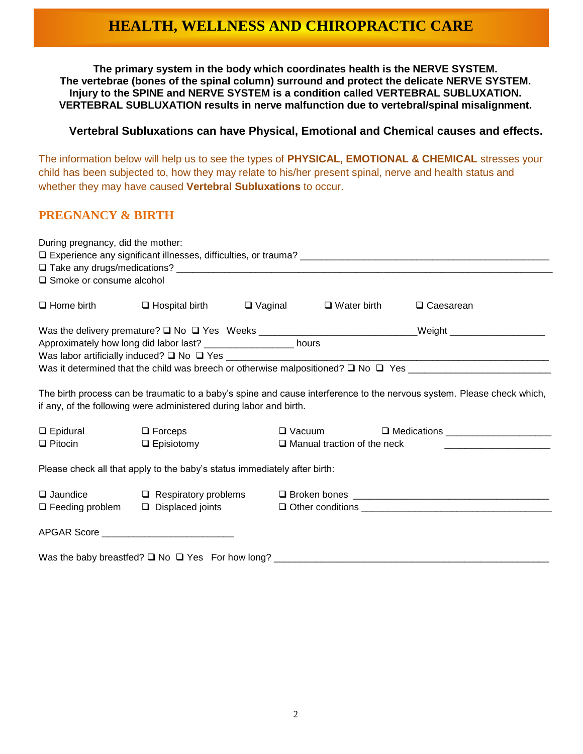# **HEALTH, WELLNESS AND CHIROPRACTIC CARE**

**The primary system in the body which coordinates health is the NERVE SYSTEM. The vertebrae (bones of the spinal column) surround and protect the delicate NERVE SYSTEM. Injury to the SPINE and NERVE SYSTEM is a condition called VERTEBRAL SUBLUXATION. VERTEBRAL SUBLUXATION results in nerve malfunction due to vertebral/spinal misalignment.**

#### **Vertebral Subluxations can have Physical, Emotional and Chemical causes and effects.**

The information below will help us to see the types of **PHYSICAL, EMOTIONAL & CHEMICAL** stresses your child has been subjected to, how they may relate to his/her present spinal, nerve and health status and whether they may have caused **Vertebral Subluxations** to occur.

## **PREGNANCY & BIRTH**

| During pregnancy, did the mother:<br>$\Box$ Smoke or consume alcohol |                                                                           |                |                                                     |                                                                                                                        |
|----------------------------------------------------------------------|---------------------------------------------------------------------------|----------------|-----------------------------------------------------|------------------------------------------------------------------------------------------------------------------------|
| $\Box$ Home birth                                                    | $\Box$ Hospital birth                                                     | $\Box$ Vaginal | $\Box$ Water birth                                  | □ Caesarean                                                                                                            |
|                                                                      | Approximately how long did labor last? ____________________ hours         |                |                                                     | Was the delivery premature? □ No □ Yes Weeks ______________________________Weight __________________                   |
|                                                                      | if any, of the following were administered during labor and birth.        |                |                                                     | The birth process can be traumatic to a baby's spine and cause interference to the nervous system. Please check which, |
| $\Box$ Epidural<br>$\Box$ Pitocin                                    | $\Box$ Forceps<br>$\Box$ Episiotomy                                       |                | $\Box$ Vacuum<br>$\Box$ Manual traction of the neck | the contract of the contract of the contract of the contract of the contract of                                        |
|                                                                      | Please check all that apply to the baby's status immediately after birth: |                |                                                     |                                                                                                                        |
| $\Box$ Jaundice                                                      |                                                                           |                |                                                     |                                                                                                                        |
|                                                                      | APGAR Score ____________________________                                  |                |                                                     |                                                                                                                        |
|                                                                      | Was the baby breastfed? $\square$ No $\square$ Yes For how long?          |                |                                                     |                                                                                                                        |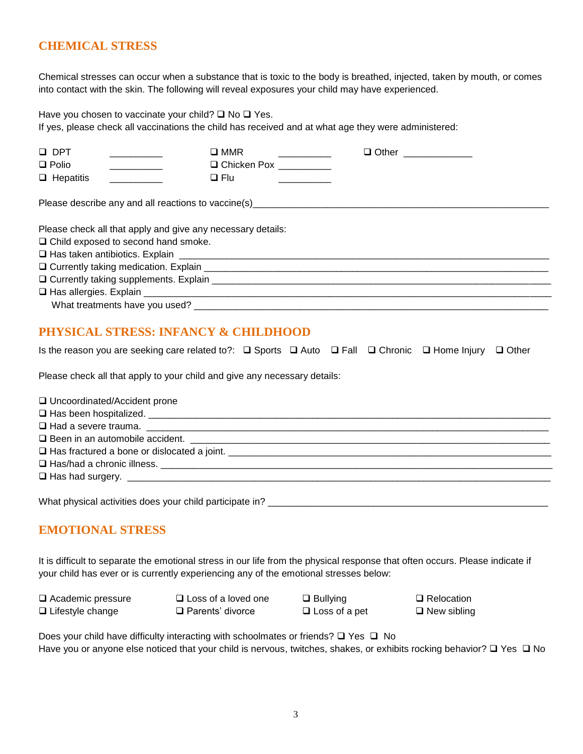## **CHEMICAL STRESS**

Chemical stresses can occur when a substance that is toxic to the body is breathed, injected, taken by mouth, or comes into contact with the skin. The following will reveal exposures your child may have experienced.

Have you chosen to vaccinate your child? ❑ No ❑ Yes.

If yes, please check all vaccinations the child has received and at what age they were administered:

| $\Box$ DPT<br>$\Box$ Polio<br>$\Box$ Hepatitis                                                                  | $\square$ MMR<br>$\Box$ Chicken Pox<br>$\Box$ Flu | $\Box$ Other |
|-----------------------------------------------------------------------------------------------------------------|---------------------------------------------------|--------------|
|                                                                                                                 |                                                   |              |
| Please describe any and all reactions to vaccine(s) entertainment and container and container and container and |                                                   |              |
| Please check all that apply and give any necessary details:                                                     |                                                   |              |
| $\Box$ Child exposed to second hand smoke.                                                                      |                                                   |              |
|                                                                                                                 |                                                   |              |
|                                                                                                                 |                                                   |              |
|                                                                                                                 |                                                   |              |
|                                                                                                                 |                                                   |              |
|                                                                                                                 |                                                   |              |

# **PHYSICAL STRESS: INFANCY & CHILDHOOD**

Is the reason you are seeking care related to?: ❑ Sports ❑ Auto ❑ Fall ❑ Chronic ❑ Home Injury ❑ Other

Please check all that apply to your child and give any necessary details:

| □ Uncoordinated/Accident prone |
|--------------------------------|
|                                |
|                                |
|                                |
|                                |
|                                |
|                                |
|                                |

What physical activities does your child participate in? \_\_\_\_\_\_\_\_\_\_\_\_\_\_\_\_\_\_\_\_\_\_\_\_\_\_\_\_\_\_\_\_\_\_\_\_\_\_\_\_\_\_\_\_\_\_\_\_\_\_\_\_\_

### **EMOTIONAL STRESS**

It is difficult to separate the emotional stress in our life from the physical response that often occurs. Please indicate if your child has ever or is currently experiencing any of the emotional stresses below:

| $\Box$ Academic pressure | $\Box$ Loss of a loved one | $\Box$ Bullying      | $\Box$ Relocation  |
|--------------------------|----------------------------|----------------------|--------------------|
| $\Box$ Lifestyle change  | $\Box$ Parents' divorce    | $\Box$ Loss of a pet | $\Box$ New sibling |

| Does your child have difficulty interacting with schoolmates or friends? $\square$ Yes $\square$ No                              |
|----------------------------------------------------------------------------------------------------------------------------------|
| Have you or anyone else noticed that your child is nervous, twitches, shakes, or exhibits rocking behavior? $\Box$ Yes $\Box$ No |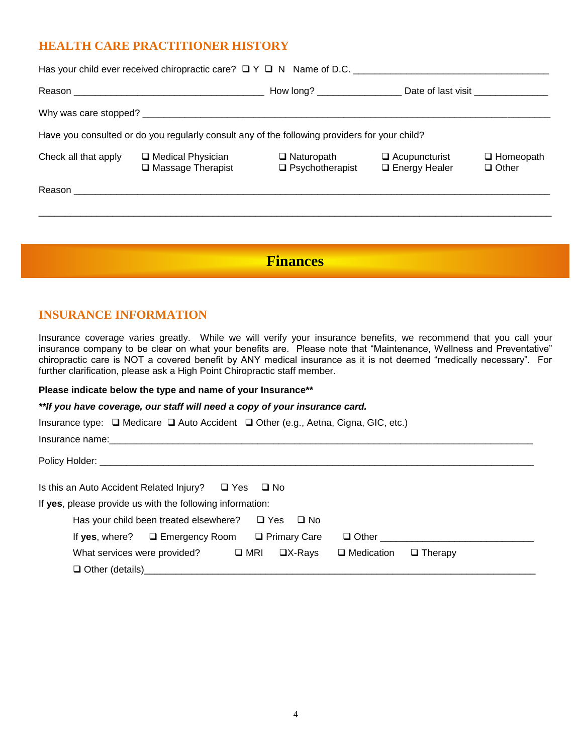# **HEALTH CARE PRACTITIONER HISTORY**

|                      | Have you consulted or do you regularly consult any of the following providers for your child? |                                             |                                              |                                  |
|----------------------|-----------------------------------------------------------------------------------------------|---------------------------------------------|----------------------------------------------|----------------------------------|
| Check all that apply | □ Medical Physician<br>$\Box$ Massage Therapist                                               | $\Box$ Naturopath<br>$\Box$ Psychotherapist | $\Box$ Acupuncturist<br>$\Box$ Energy Healer | $\Box$ Homeopath<br>$\Box$ Other |
|                      |                                                                                               |                                             |                                              |                                  |

**Finances**

### **INSURANCE INFORMATION**

Insurance name:

Insurance coverage varies greatly. While we will verify your insurance benefits, we recommend that you call your insurance company to be clear on what your benefits are. Please note that "Maintenance, Wellness and Preventative" chiropractic care is NOT a covered benefit by ANY medical insurance as it is not deemed "medically necessary". For further clarification, please ask a High Point Chiropractic staff member.

**Please indicate below the type and name of your Insurance\*\***

#### *\*\*If you have coverage, our staff will need a copy of your insurance card.*

Insurance type: ❑ Medicare ❑ Auto Accident ❑ Other (e.g., Aetna, Cigna, GIC, etc.)

| Policy Holder: __________                                 |                                 |                   |                |
|-----------------------------------------------------------|---------------------------------|-------------------|----------------|
| Is this an Auto Accident Related Injury? $\Box$ Yes       | ⊟ No                            |                   |                |
| If yes, please provide us with the following information: |                                 |                   |                |
| Has your child been treated elsewhere?                    | $\square$ Yes<br>$\square$ No   |                   |                |
| If yes, where? $\Box$ Emergency Room                      | □ Primary Care                  | $\Box$ Other      |                |
| What services were provided?                              | $\square$ MRI<br>$\Box X$ -Rays | $\Box$ Medication | $\Box$ Therapy |
| $\Box$ Other (details)                                    |                                 |                   |                |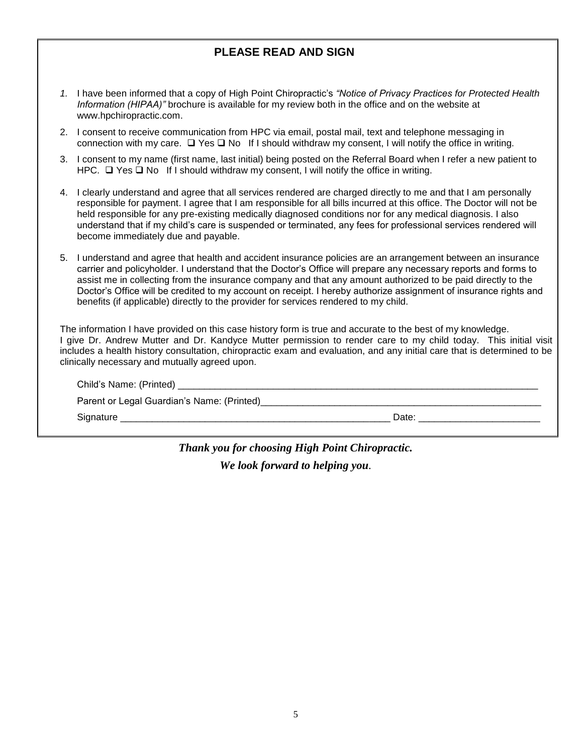## **PLEASE READ AND SIGN**

- *1.* I have been informed that a copy of High Point Chiropractic's *"Notice of Privacy Practices for Protected Health Information (HIPAA)"* brochure is available for my review both in the office and on the website at www.hpchiropractic.com.
- 2. I consent to receive communication from HPC via email, postal mail, text and telephone messaging in connection with my care. ❑ Yes ❑ No If I should withdraw my consent, I will notify the office in writing.
- 3. I consent to my name (first name, last initial) being posted on the Referral Board when I refer a new patient to HPC. ❑ Yes ❑ No If I should withdraw my consent, I will notify the office in writing.
- 4. I clearly understand and agree that all services rendered are charged directly to me and that I am personally responsible for payment. I agree that I am responsible for all bills incurred at this office. The Doctor will not be held responsible for any pre-existing medically diagnosed conditions nor for any medical diagnosis. I also understand that if my child's care is suspended or terminated, any fees for professional services rendered will become immediately due and payable.
- 5. I understand and agree that health and accident insurance policies are an arrangement between an insurance carrier and policyholder. I understand that the Doctor's Office will prepare any necessary reports and forms to assist me in collecting from the insurance company and that any amount authorized to be paid directly to the Doctor's Office will be credited to my account on receipt. I hereby authorize assignment of insurance rights and benefits (if applicable) directly to the provider for services rendered to my child.

The information I have provided on this case history form is true and accurate to the best of my knowledge. I give Dr. Andrew Mutter and Dr. Kandyce Mutter permission to render care to my child today. This initial visit includes a health history consultation, chiropractic exam and evaluation, and any initial care that is determined to be clinically necessary and mutually agreed upon.

| Child's Name: (Printed)                    |       |
|--------------------------------------------|-------|
| Parent or Legal Guardian's Name: (Printed) |       |
| Signature                                  | Date: |

*Thank you for choosing High Point Chiropractic. We look forward to helping you.*